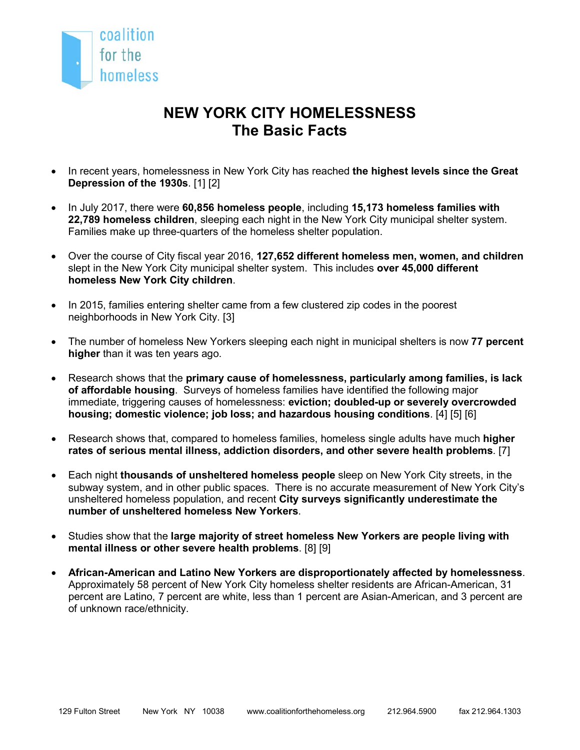

## **NEW YORK CITY HOMELESSNESS The Basic Facts**

- In recent years, homelessness in New York City has reached **the highest levels since the Great Depression of the 1930s**. [1] [2]
- In July 2017, there were **60,856 homeless people**, including **15,173 homeless families with 22,789 homeless children**, sleeping each night in the New York City municipal shelter system. Families make up three-quarters of the homeless shelter population.
- Over the course of City fiscal year 2016, **127,652 different homeless men, women, and children** slept in the New York City municipal shelter system. This includes **over 45,000 different homeless New York City children**.
- In 2015, families entering shelter came from a few clustered zip codes in the poorest neighborhoods in New York City. [3]
- The number of homeless New Yorkers sleeping each night in municipal shelters is now **77 percent higher** than it was ten years ago.
- Research shows that the **primary cause of homelessness, particularly among families, is lack of affordable housing**. Surveys of homeless families have identified the following major immediate, triggering causes of homelessness: **eviction; doubled-up or severely overcrowded housing; domestic violence; job loss; and hazardous housing conditions**. [4] [5] [6]
- Research shows that, compared to homeless families, homeless single adults have much **higher rates of serious mental illness, addiction disorders, and other severe health problems**. [7]
- Each night **thousands of unsheltered homeless people** sleep on New York City streets, in the subway system, and in other public spaces. There is no accurate measurement of New York City's unsheltered homeless population, and recent **City surveys significantly underestimate the number of unsheltered homeless New Yorkers**.
- Studies show that the **large majority of street homeless New Yorkers are people living with mental illness or other severe health problems**. [8] [9]
- **African-American and Latino New Yorkers are disproportionately affected by homelessness**. Approximately 58 percent of New York City homeless shelter residents are African-American, 31 percent are Latino, 7 percent are white, less than 1 percent are Asian-American, and 3 percent are of unknown race/ethnicity.